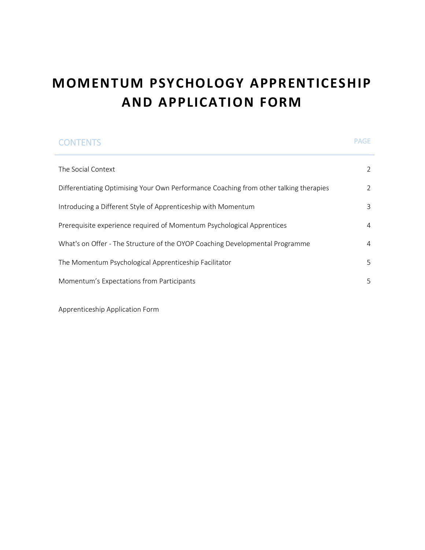# **MOMENTUM PSYCHOLOGY APPRENTICESHIP AND APPLICATION FORM**

| <b>CONTENTS</b>                                                                       | <b>PAGE</b>    |
|---------------------------------------------------------------------------------------|----------------|
| The Social Context                                                                    | $\overline{2}$ |
| Differentiating Optimising Your Own Performance Coaching from other talking therapies | 2              |
| Introducing a Different Style of Apprenticeship with Momentum                         | 3              |
| Prerequisite experience required of Momentum Psychological Apprentices                | 4              |
| What's on Offer - The Structure of the OYOP Coaching Developmental Programme          | 4              |
| The Momentum Psychological Apprenticeship Facilitator                                 | 5              |
| Momentum's Expectations from Participants                                             | 5              |
|                                                                                       |                |

Apprenticeship Application Form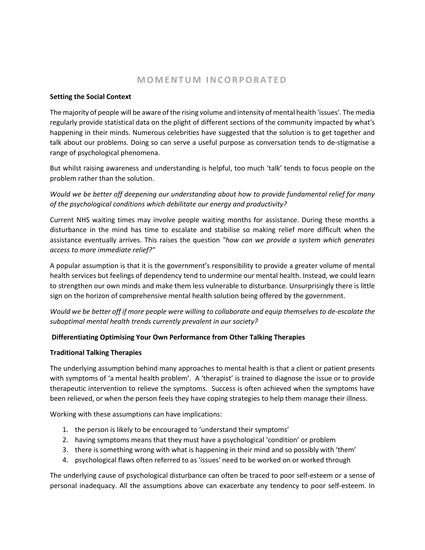# **M O M E N T U M I N C O R P O R A T E D**

#### **Setting the Social Context**

The majority of people will be aware of the rising volume and intensity of mental health 'issues'. The media regularly provide statistical data on the plight of different sections of the community impacted by what's happening in their minds. Numerous celebrities have suggested that the solution is to get together and talk about our problems. Doing so can serve a useful purpose as conversation tends to de-stigmatise a range of psychological phenomena.

But whilst raising awareness and understanding is helpful, too much 'talk' tends to focus people on the problem rather than the solution.

*Would we be better off deepening our understanding about how to provide fundamental relief for many of the psychological conditions which debilitate our energy and productivity?*

Current NHS waiting times may involve people waiting months for assistance. During these months a disturbance in the mind has time to escalate and stabilise so making relief more difficult when the assistance eventually arrives. This raises the question *"how can we provide a system which generates access to more immediate relief?"*

A popular assumption is that it is the government's responsibility to provide a greater volume of mental health services but feelings of dependency tend to undermine our mental health. Instead, we could learn to strengthen our own minds and make them less vulnerable to disturbance. Unsurprisingly there is little sign on the horizon of comprehensive mental health solution being offered by the government.

*Would we be better off if more people were willing to collaborate and equip themselves to de-escalate the suboptimal mental health trends currently prevalent in our society?* 

# **Differentiating Optimising Your Own Performance from Other Talking Therapies**

#### **Traditional Talking Therapies**

The underlying assumption behind many approaches to mental health is that a client or patient presents with symptoms of 'a mental health problem'. A 'therapist' is trained to diagnose the issue or to provide therapeutic intervention to relieve the symptoms. Success is often achieved when the symptoms have been relieved, or when the person feels they have coping strategies to help them manage their illness.

Working with these assumptions can have implications:

- 1. the person is likely to be encouraged to 'understand their symptoms'
- 2. having symptoms means that they must have a psychological 'condition' or problem
- 3. there is something wrong with what is happening in their mind and so possibly with 'them'
- 4. psychological flaws often referred to as 'issues' need to be worked on or worked through

The underlying cause of psychological disturbance can often be traced to poor self-esteem or a sense of personal inadequacy. All the assumptions above can exacerbate any tendency to poor self-esteem. In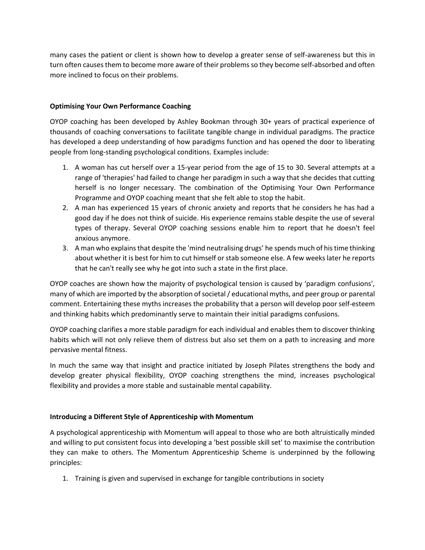many cases the patient or client is shown how to develop a greater sense of self-awareness but this in turn often causes them to become more aware of their problems so they become self-absorbed and often more inclined to focus on their problems.

### **Optimising Your Own Performance Coaching**

OYOP coaching has been developed by Ashley Bookman through 30+ years of practical experience of thousands of coaching conversations to facilitate tangible change in individual paradigms. The practice has developed a deep understanding of how paradigms function and has opened the door to liberating people from long-standing psychological conditions. Examples include:

- 1. A woman has cut herself over a 15-year period from the age of 15 to 30. Several attempts at a range of 'therapies' had failed to change her paradigm in such a way that she decides that cutting herself is no longer necessary. The combination of the Optimising Your Own Performance Programme and OYOP coaching meant that she felt able to stop the habit.
- 2. A man has experienced 15 years of chronic anxiety and reports that he considers he has had a good day if he does not think of suicide. His experience remains stable despite the use of several types of therapy. Several OYOP coaching sessions enable him to report that he doesn't feel anxious anymore.
- 3. A man who explains that despite the 'mind neutralising drugs' he spends much of his time thinking about whether it is best for him to cut himself or stab someone else. A few weeks later he reports that he can't really see why he got into such a state in the first place.

OYOP coaches are shown how the majority of psychological tension is caused by 'paradigm confusions', many of which are imported by the absorption of societal / educational myths, and peer group or parental comment. Entertaining these myths increases the probability that a person will develop poor self-esteem and thinking habits which predominantly serve to maintain their initial paradigms confusions.

OYOP coaching clarifies a more stable paradigm for each individual and enables them to discover thinking habits which will not only relieve them of distress but also set them on a path to increasing and more pervasive mental fitness.

In much the same way that insight and practice initiated by Joseph Pilates strengthens the body and develop greater physical flexibility, OYOP coaching strengthens the mind, increases psychological flexibility and provides a more stable and sustainable mental capability.

#### **Introducing a Different Style of Apprenticeship with Momentum**

A psychological apprenticeship with Momentum will appeal to those who are both altruistically minded and willing to put consistent focus into developing a 'best possible skill set' to maximise the contribution they can make to others. The Momentum Apprenticeship Scheme is underpinned by the following principles:

1. Training is given and supervised in exchange for tangible contributions in society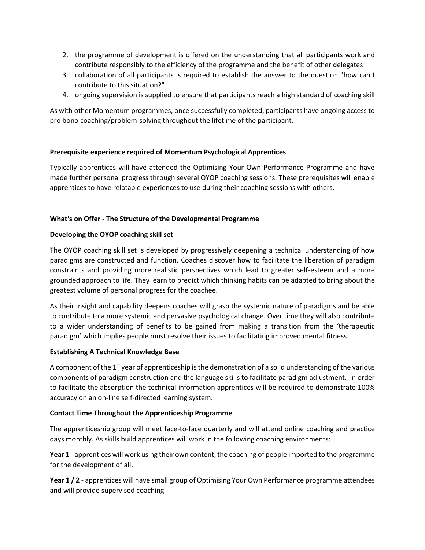- 2. the programme of development is offered on the understanding that all participants work and contribute responsibly to the efficiency of the programme and the benefit of other delegates
- 3. collaboration of all participants is required to establish the answer to the question "how can I contribute to this situation?"
- 4. ongoing supervision is supplied to ensure that participants reach a high standard of coaching skill

As with other Momentum programmes, once successfully completed, participants have ongoing access to pro bono coaching/problem-solving throughout the lifetime of the participant.

#### **Prerequisite experience required of Momentum Psychological Apprentices**

Typically apprentices will have attended the Optimising Your Own Performance Programme and have made further personal progress through several OYOP coaching sessions. These prerequisites will enable apprentices to have relatable experiences to use during their coaching sessions with others.

# **What's on Offer - The Structure of the Developmental Programme**

# **Developing the OYOP coaching skill set**

The OYOP coaching skill set is developed by progressively deepening a technical understanding of how paradigms are constructed and function. Coaches discover how to facilitate the liberation of paradigm constraints and providing more realistic perspectives which lead to greater self-esteem and a more grounded approach to life. They learn to predict which thinking habits can be adapted to bring about the greatest volume of personal progress for the coachee.

As their insight and capability deepens coaches will grasp the systemic nature of paradigms and be able to contribute to a more systemic and pervasive psychological change. Over time they will also contribute to a wider understanding of benefits to be gained from making a transition from the 'therapeutic paradigm' which implies people must resolve their issues to facilitating improved mental fitness.

#### **Establishing A Technical Knowledge Base**

A component of the 1<sup>st</sup> year of apprenticeship is the demonstration of a solid understanding of the various components of paradigm construction and the language skills to facilitate paradigm adjustment. In order to facilitate the absorption the technical information apprentices will be required to demonstrate 100% accuracy on an on-line self-directed learning system.

#### **Contact Time Throughout the Apprenticeship Programme**

The apprenticeship group will meet face-to-face quarterly and will attend online coaching and practice days monthly. As skills build apprentices will work in the following coaching environments:

**Year 1** - apprentices will work using their own content, the coaching of people imported to the programme for the development of all.

**Year 1 / 2** - apprentices will have small group of Optimising Your Own Performance programme attendees and will provide supervised coaching